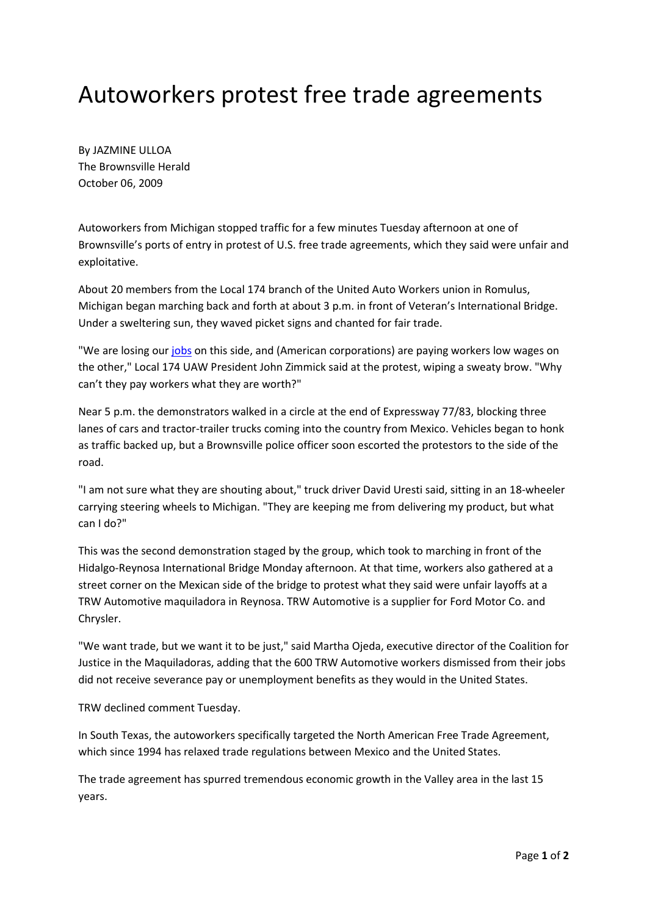## Autoworkers protest free trade agreements

By JAZMINE ULLOA The Brownsville Herald October 06, 2009

Autoworkers from Michigan stopped traffic for a few minutes Tuesday afternoon at one of Brownsville's ports of entry in protest of U.S. free trade agreements, which they said were unfair and exploitative.

About 20 members from the Local 174 branch of the United Auto Workers union in Romulus, Michigan began marching back and forth at about 3 p.m. in front of Veteran's International Bridge. Under a sweltering sun, they waved picket signs and chanted for fair trade.

"We are losing our jobs on this side, and (American corporations) are paying workers low wages on the other," Local 174 UAW President John Zimmick said at the protest, wiping a sweaty brow. "Why can't they pay workers what they are worth?"

Near 5 p.m. the demonstrators walked in a circle at the end of Expressway 77/83, blocking three lanes of cars and tractor-trailer trucks coming into the country from Mexico. Vehicles began to honk as traffic backed up, but a Brownsville police officer soon escorted the protestors to the side of the road.

"I am not sure what they are shouting about," truck driver David Uresti said, sitting in an 18-wheeler carrying steering wheels to Michigan. "They are keeping me from delivering my product, but what can I do?"

This was the second demonstration staged by the group, which took to marching in front of the Hidalgo-Reynosa International Bridge Monday afternoon. At that time, workers also gathered at a street corner on the Mexican side of the bridge to protest what they said were unfair layoffs at a TRW Automotive maquiladora in Reynosa. TRW Automotive is a supplier for Ford Motor Co. and Chrysler.

"We want trade, but we want it to be just," said Martha Ojeda, executive director of the Coalition for Justice in the Maquiladoras, adding that the 600 TRW Automotive workers dismissed from their jobs did not receive severance pay or unemployment benefits as they would in the United States.

TRW declined comment Tuesday.

In South Texas, the autoworkers specifically targeted the North American Free Trade Agreement, which since 1994 has relaxed trade regulations between Mexico and the United States.

The trade agreement has spurred tremendous economic growth in the Valley area in the last 15 years.